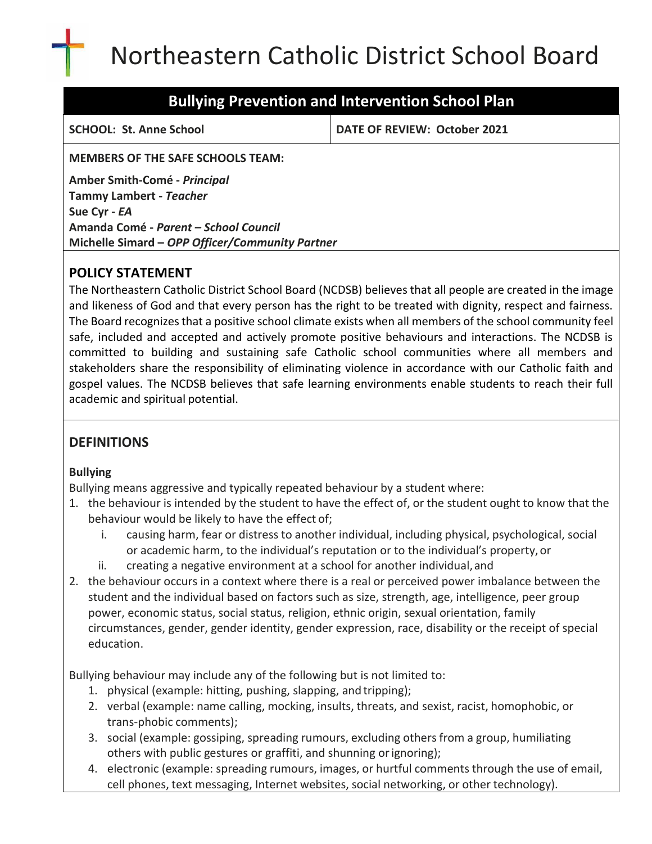# Northeastern Catholic District School Board

# **Bullying Prevention and Intervention School Plan**

**SCHOOL: St. Anne School DATE OF REVIEW: October 2021**

**MEMBERS OF THE SAFE SCHOOLS TEAM:**

**Amber Smith-Comé -** *Principal*  **Tammy Lambert -** *Teacher*  **Sue Cyr -** *EA* **Amanda Comé -** *Parent – School Council* **Michelle Simard –** *OPP Officer/Community Partner*

# **POLICY STATEMENT**

The Northeastern Catholic District School Board (NCDSB) believes that all people are created in the image and likeness of God and that every person has the right to be treated with dignity, respect and fairness. The Board recognizesthat a positive school climate exists when all members of the school community feel safe, included and accepted and actively promote positive behaviours and interactions. The NCDSB is committed to building and sustaining safe Catholic school communities where all members and stakeholders share the responsibility of eliminating violence in accordance with our Catholic faith and gospel values. The NCDSB believes that safe learning environments enable students to reach their full academic and spiritual potential.

# **DEFINITIONS**

## **Bullying**

Bullying means aggressive and typically repeated behaviour by a student where:

- 1. the behaviour is intended by the student to have the effect of, or the student ought to know that the behaviour would be likely to have the effect of;
	- i. causing harm, fear or distress to another individual, including physical, psychological, social or academic harm, to the individual's reputation or to the individual's property,or
	- ii. creating a negative environment at a school for another individual, and
- 2. the behaviour occurs in a context where there is a real or perceived power imbalance between the student and the individual based on factors such as size, strength, age, intelligence, peer group power, economic status, social status, religion, ethnic origin, sexual orientation, family circumstances, gender, gender identity, gender expression, race, disability or the receipt of special education.

Bullying behaviour may include any of the following but is not limited to:

- 1. physical (example: hitting, pushing, slapping, andtripping);
- 2. verbal (example: name calling, mocking, insults, threats, and sexist, racist, homophobic, or trans‐phobic comments);
- 3. social (example: gossiping, spreading rumours, excluding others from a group, humiliating others with public gestures or graffiti, and shunning orignoring);
- 4. electronic (example: spreading rumours, images, or hurtful comments through the use of email, cell phones, text messaging, Internet websites, social networking, or other technology).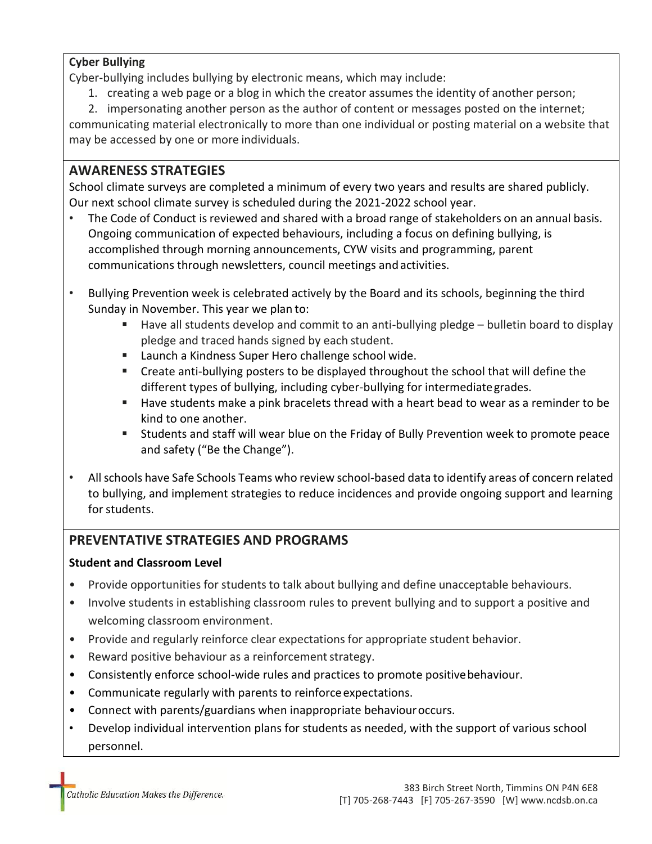#### **Cyber Bullying**

Cyber-bullying includes bullying by electronic means, which may include:

1. creating a web page or a blog in which the creator assumes the identity of another person;

2. impersonating another person as the author of content or messages posted on the internet;

communicating material electronically to more than one individual or posting material on a website that may be accessed by one or more individuals.

## **AWARENESS STRATEGIES**

School climate surveys are completed a minimum of every two years and results are shared publicly. Our next school climate survey is scheduled during the 2021-2022 school year.

- The Code of Conduct is reviewed and shared with a broad range of stakeholders on an annual basis. Ongoing communication of expected behaviours, including a focus on defining bullying, is accomplished through morning announcements, CYW visits and programming, parent communications through newsletters, council meetings andactivities.
- Bullying Prevention week is celebrated actively by the Board and its schools, beginning the third Sunday in November. This year we plan to:
	- Have all students develop and commit to an anti-bullying pledge bulletin board to display pledge and traced hands signed by each student.
	- Launch a Kindness Super Hero challenge school wide.
	- Create anti-bullying posters to be displayed throughout the school that will define the different types of bullying, including cyber-bullying for intermediategrades.
	- Have students make a pink bracelets thread with a heart bead to wear as a reminder to be kind to one another.
	- Students and staff will wear blue on the Friday of Bully Prevention week to promote peace and safety ("Be the Change").
- Allschools have Safe Schools Teams who review school-based data to identify areas of concern related to bullying, and implement strategies to reduce incidences and provide ongoing support and learning for students.

# **PREVENTATIVE STRATEGIES AND PROGRAMS**

## **Student and Classroom Level**

- Provide opportunities for students to talk about bullying and define unacceptable behaviours.
- Involve students in establishing classroom rules to prevent bullying and to support a positive and welcoming classroom environment.
- Provide and regularly reinforce clear expectations for appropriate student behavior.
- Reward positive behaviour as a reinforcement strategy.
- Consistently enforce school-wide rules and practices to promote positivebehaviour.
- Communicate regularly with parents to reinforce expectations.
- Connect with parents/guardians when inappropriate behaviouroccurs.
- Develop individual intervention plans for students as needed, with the support of various school personnel.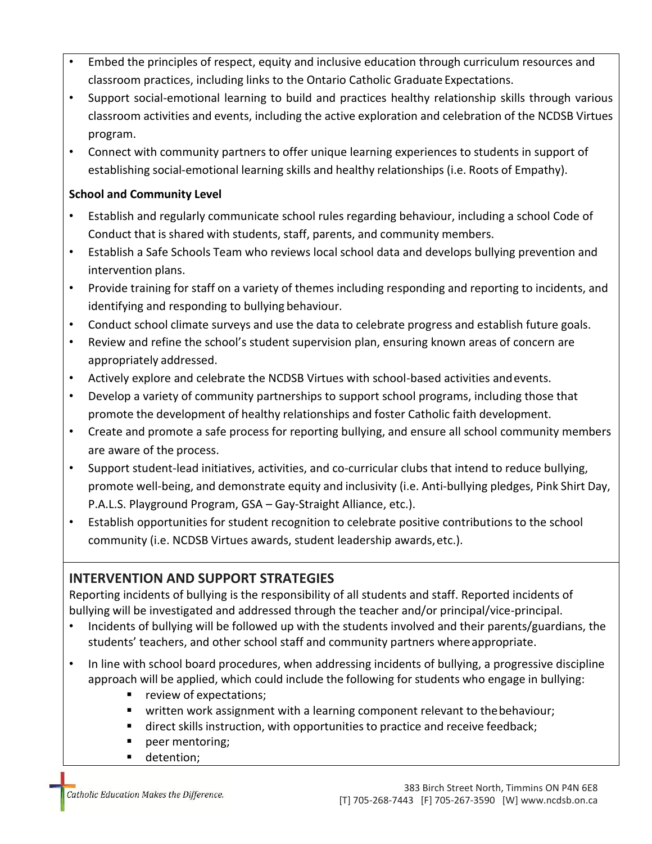- Embed the principles of respect, equity and inclusive education through curriculum resources and classroom practices, including links to the Ontario Catholic Graduate Expectations.
- Support social-emotional learning to build and practices healthy relationship skills through various classroom activities and events, including the active exploration and celebration of the NCDSB Virtues program.
- Connect with community partners to offer unique learning experiences to students in support of establishing social-emotional learning skills and healthy relationships (i.e. Roots of Empathy).

#### **School and Community Level**

- Establish and regularly communicate school rules regarding behaviour, including a school Code of Conduct that is shared with students, staff, parents, and community members.
- Establish a Safe Schools Team who reviews local school data and develops bullying prevention and intervention plans.
- Provide training for staff on a variety of themes including responding and reporting to incidents, and identifying and responding to bullying behaviour.
- Conduct school climate surveys and use the data to celebrate progress and establish future goals.
- Review and refine the school's student supervision plan, ensuring known areas of concern are appropriately addressed.
- Actively explore and celebrate the NCDSB Virtues with school-based activities andevents.
- Develop a variety of community partnerships to support school programs, including those that promote the development of healthy relationships and foster Catholic faith development.
- Create and promote a safe process for reporting bullying, and ensure all school community members are aware of the process.
- Support student-lead initiatives, activities, and co-curricular clubs that intend to reduce bullying, promote well-being, and demonstrate equity and inclusivity (i.e. Anti-bullying pledges, Pink Shirt Day, P.A.L.S. Playground Program, GSA – Gay-Straight Alliance, etc.).
- Establish opportunities for student recognition to celebrate positive contributions to the school community (i.e. NCDSB Virtues awards, student leadership awards,etc.).

# **INTERVENTION AND SUPPORT STRATEGIES**

Reporting incidents of bullying is the responsibility of all students and staff. Reported incidents of bullying will be investigated and addressed through the teacher and/or principal/vice-principal.

- Incidents of bullying will be followed up with the students involved and their parents/guardians, the students' teachers, and other school staff and community partners whereappropriate.
- In line with school board procedures, when addressing incidents of bullying, a progressive discipline approach will be applied, which could include the following for students who engage in bullying:
	- review of expectations;
	- written work assignment with a learning component relevant to the behaviour;
	- direct skills instruction, with opportunities to practice and receive feedback;
	- peer mentoring;
	- detention: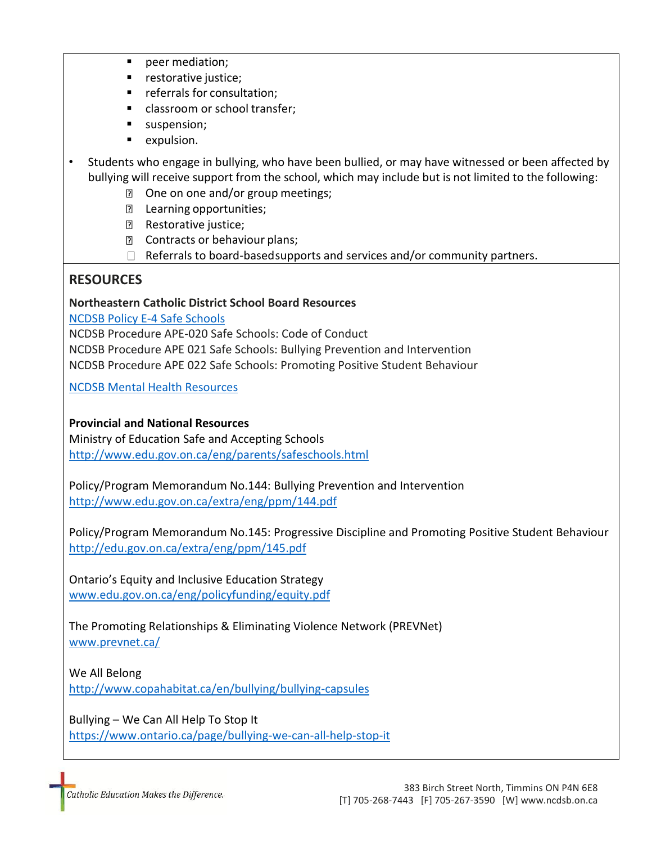- peer mediation;
- restorative justice;
- referrals for consultation;
- classroom or school transfer;
- suspension;
- expulsion.
- Students who engage in bullying, who have been bullied, or may have witnessed or been affected by bullying will receive support from the school, which may include but is not limited to the following:
	- **D** One on one and/or group meetings;
	- D Learning opportunities;
	- **Restorative justice;**
	- **D** Contracts or behaviour plans;
	- $\Box$  Referrals to board-based supports and services and/or community partners.

# **RESOURCES**

#### **Northeastern Catholic District School Board Resources**

[NCDSB Policy E-4 Safe Schools](https://www.ncdsb.on.ca/policy/POLICY%20MANUAL%202013/New%20Section%20E%20-%20Education%2C%20Schools%2C%20%26%20Students/E-34%20Safe%20Schools.pdf)

NCDSB Procedure APE-020 Safe Schools: Code of Conduct NCDSB Procedure APE 021 Safe Schools: Bullying Prevention and Intervention NCDSB Procedure APE 022 Safe Schools: Promoting Positive Student Behaviour

[NCDSB Mental Health Resources](https://www.ncdsb.on.ca/mental-health-resourcess.php)

#### **Provincial and National Resources**

Ministry of Education Safe and Accepting Schools <http://www.edu.gov.on.ca/eng/parents/safeschools.html>

Policy/Program Memorandum No.144: Bullying Prevention and Intervention <http://www.edu.gov.on.ca/extra/eng/ppm/144.pdf>

Policy/Program Memorandum No.145: Progressive Discipline and Promoting Positive Student Behaviour <http://edu.gov.on.ca/extra/eng/ppm/145.pdf>

Ontario's Equity and Inclusive Education Strategy [www.edu.gov.on.ca/eng/policyfunding/equity.pdf](http://www.edu.gov.on.ca/eng/policyfunding/equity.pdf)

The Promoting Relationships & Eliminating Violence Network (PREVNet) [www.prevnet.ca/](http://www.prevnet.ca/)

We All Belong

<http://www.copahabitat.ca/en/bullying/bullying-capsules>

Bullying – We Can All Help To Stop It <https://www.ontario.ca/page/bullying-we-can-all-help-stop-it>